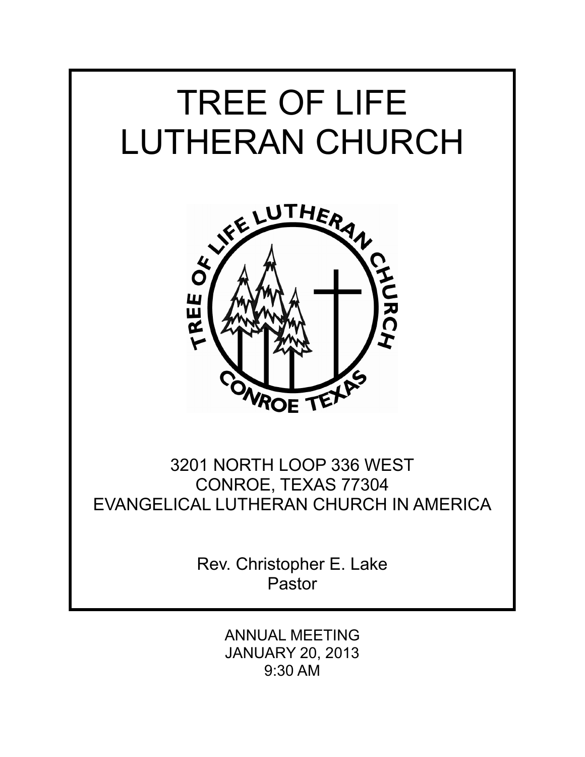

ANNUAL MEETING JANUARY 20, 2013 9:30 AM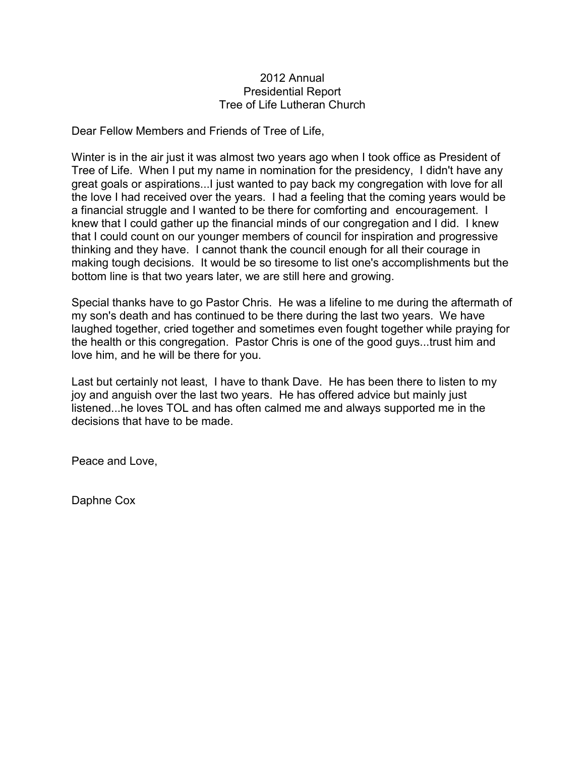### 2012 Annual Presidential Report Tree of Life Lutheran Church

Dear Fellow Members and Friends of Tree of Life,

Winter is in the air just it was almost two years ago when I took office as President of Tree of Life. When I put my name in nomination for the presidency, I didn't have any great goals or aspirations...I just wanted to pay back my congregation with love for all the love I had received over the years. I had a feeling that the coming years would be a financial struggle and I wanted to be there for comforting and encouragement. I knew that I could gather up the financial minds of our congregation and I did. I knew that I could count on our younger members of council for inspiration and progressive thinking and they have. I cannot thank the council enough for all their courage in making tough decisions. It would be so tiresome to list one's accomplishments but the bottom line is that two years later, we are still here and growing.

Special thanks have to go Pastor Chris. He was a lifeline to me during the aftermath of my son's death and has continued to be there during the last two years. We have laughed together, cried together and sometimes even fought together while praying for the health or this congregation. Pastor Chris is one of the good guys...trust him and love him, and he will be there for you.

Last but certainly not least, I have to thank Dave. He has been there to listen to my joy and anguish over the last two years. He has offered advice but mainly just listened...he loves TOL and has often calmed me and always supported me in the decisions that have to be made.

Peace and Love,

Daphne Cox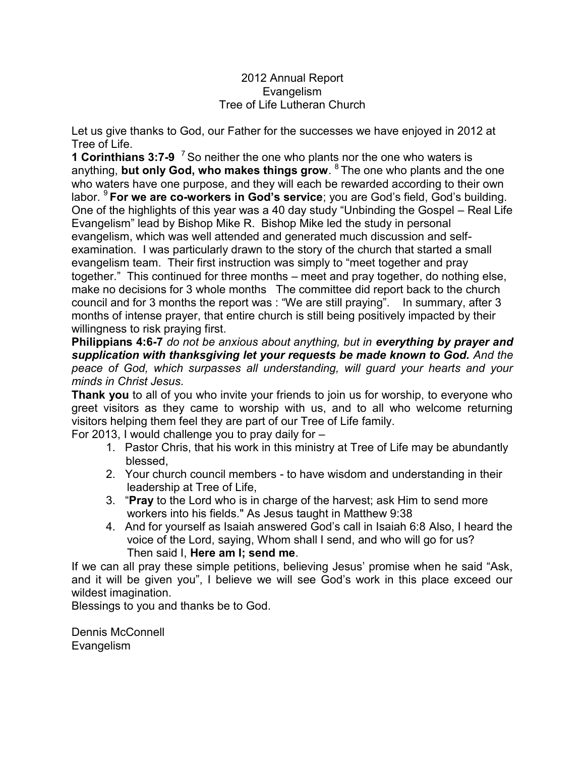# 2012 Annual Report Evangelism Tree of Life Lutheran Church

Let us give thanks to God, our Father for the successes we have enjoyed in 2012 at Tree of Life.

**1 Corinthians 3:7-9** <sup>7</sup> So neither the one who plants nor the one who waters is anything, **but only God, who makes things grow**. <sup>8</sup>The one who plants and the one who waters have one purpose, and they will each be rewarded according to their own labor. <sup>9</sup>**For we are co-workers in God's service**; you are God's field, God's building. One of the highlights of this year was a 40 day study "Unbinding the Gospel – Real Life Evangelism" lead by Bishop Mike R. Bishop Mike led the study in personal evangelism, which was well attended and generated much discussion and selfexamination. I was particularly drawn to the story of the church that started a small evangelism team. Their first instruction was simply to "meet together and pray together." This continued for three months – meet and pray together, do nothing else, make no decisions for 3 whole months The committee did report back to the church council and for 3 months the report was : "We are still praying". In summary, after 3 months of intense prayer, that entire church is still being positively impacted by their willingness to risk praying first.

**Philippians 4:6-7** *do not be anxious about anything, but in everything by prayer and supplication with thanksgiving let your requests be made known to God. And the peace of God, which surpasses all understanding, will guard your hearts and your minds in Christ Jesus*.

**Thank you** to all of you who invite your friends to join us for worship, to everyone who greet visitors as they came to worship with us, and to all who welcome returning visitors helping them feel they are part of our Tree of Life family.

For 2013, I would challenge you to pray daily for –

- 1. Pastor Chris, that his work in this ministry at Tree of Life may be abundantly blessed,
- 2. Your church council members to have wisdom and understanding in their leadership at Tree of Life,
- 3. "**Pray** to the Lord who is in charge of the harvest; ask Him to send more workers into his fields." As Jesus taught in Matthew 9:38
- 4. And for yourself as Isaiah answered God's call in Isaiah 6:8 Also, I heard the voice of the Lord, saying, Whom shall I send, and who will go for us? Then said I, **Here am I; send me**.

If we can all pray these simple petitions, believing Jesus' promise when he said "Ask, and it will be given you", I believe we will see God's work in this place exceed our wildest imagination.

Blessings to you and thanks be to God.

Dennis McConnell Evangelism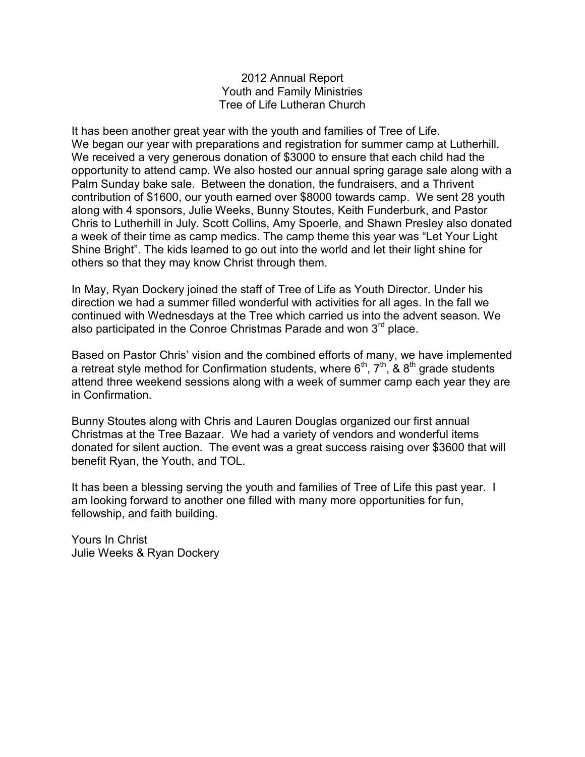## 2012 Annual Report Youth and Family Ministries Tree of Life Lutheran Church

It has been another great year with the youth and families of Tree of Life. We began our year with preparations and registration for summer camp at Lutherhill. We received a very generous donation of \$3000 to ensure that each child had the opportunity to attend camp. We also hosted our annual spring garage sale along with a Palm Sunday bake sale. Between the donation, the fundraisers, and a Thrivent contribution of \$1600, our youth earned over \$8000 towards camp. We sent 28 youth along with 4 sponsors, Julie Weeks, Bunny Stoutes, Keith Funderburk, and Pastor Chris to Lutherhill in July. Scott Collins, Amy Spoerle, and Shawn Presley also donated a week of their time as camp medics. The camp theme this year was "Let Your Light Shine Bright". The kids learned to go out into the world and let their light shine for others so that they may know Christ through them.

In May, Ryan Dockery joined the staff of Tree of Life as Youth Director. Under his direction we had a summer filled wonderful with activities for all ages. In the fall we continued with Wednesdays at the Tree which carried us into the advent season. We also participated in the Conroe Christmas Parade and won  $3<sup>rd</sup>$  place.

Based on Pastor Chris' vision and the combined efforts of many, we have implemented a retreat style method for Confirmation students, where  $6<sup>th</sup>$ ,  $7<sup>th</sup>$ , &  $8<sup>th</sup>$  grade students attend three weekend sessions along with a week of summer camp each year they are in Confirmation.

Bunny Stoutes along with Chris and Lauren Douglas organized our first annual Christmas at the Tree Bazaar. We had a variety of vendors and wonderful items donated for silent auction. The event was a great success raising over \$3600 that will benefit Ryan, the Youth, and TOL.

It has been a blessing serving the youth and families of Tree of Life this past year. I am looking forward to another one filled with many more opportunities for fun, fellowship, and faith building.

Yours In Christ Julie Weeks & Ryan Dockery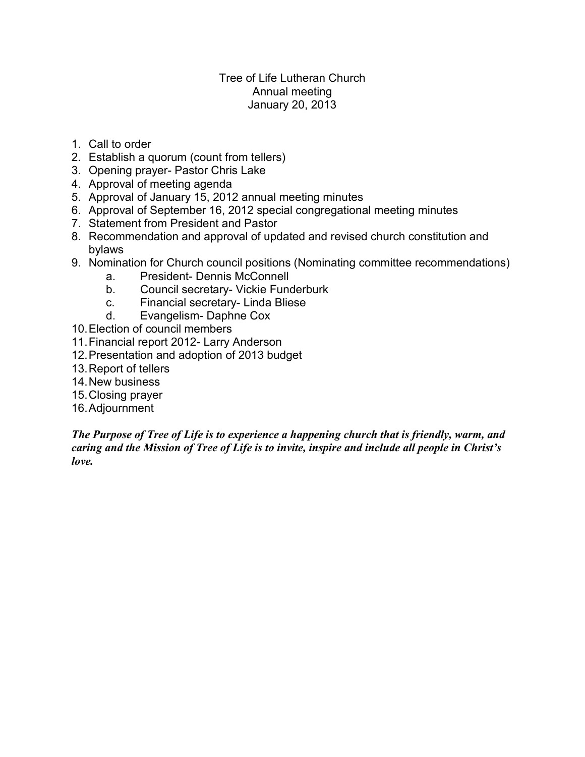# Tree of Life Lutheran Church Annual meeting January 20, 2013

- 1. Call to order
- 2. Establish a quorum (count from tellers)
- 3. Opening prayer- Pastor Chris Lake
- 4. Approval of meeting agenda
- 5. Approval of January 15, 2012 annual meeting minutes
- 6. Approval of September 16, 2012 special congregational meeting minutes
- 7. Statement from President and Pastor
- 8. Recommendation and approval of updated and revised church constitution and bylaws
- 9. Nomination for Church council positions (Nominating committee recommendations)
	- a. President- Dennis McConnell
	- b. Council secretary- Vickie Funderburk
	- c. Financial secretary- Linda Bliese
	- d. Evangelism- Daphne Cox
- 10.Election of council members
- 11.Financial report 2012- Larry Anderson
- 12.Presentation and adoption of 2013 budget
- 13.Report of tellers
- 14.New business
- 15.Closing prayer
- 16.Adjournment

*The Purpose of Tree of Life is to experience a happening church that is friendly, warm, and caring and the Mission of Tree of Life is to invite, inspire and include all people in Christ's love.*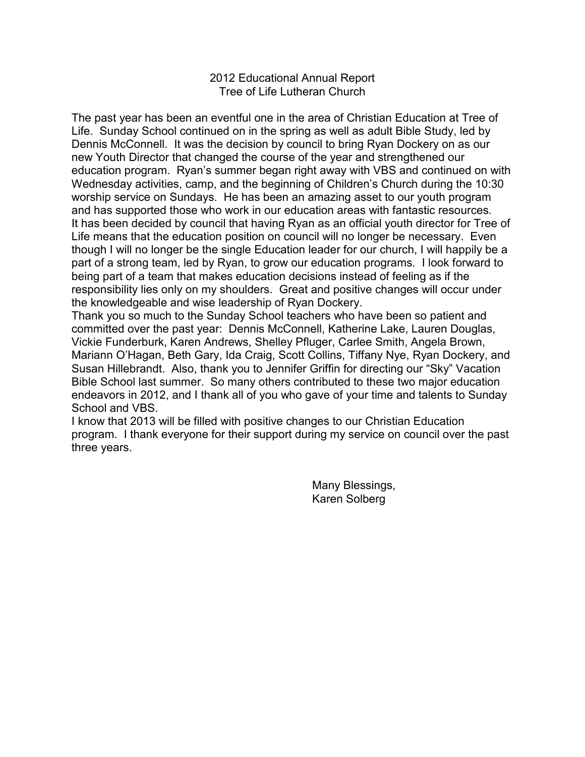## 2012 Educational Annual Report Tree of Life Lutheran Church

The past year has been an eventful one in the area of Christian Education at Tree of Life. Sunday School continued on in the spring as well as adult Bible Study, led by Dennis McConnell. It was the decision by council to bring Ryan Dockery on as our new Youth Director that changed the course of the year and strengthened our education program. Ryan's summer began right away with VBS and continued on with Wednesday activities, camp, and the beginning of Children's Church during the 10:30 worship service on Sundays. He has been an amazing asset to our youth program and has supported those who work in our education areas with fantastic resources. It has been decided by council that having Ryan as an official youth director for Tree of Life means that the education position on council will no longer be necessary. Even though I will no longer be the single Education leader for our church, I will happily be a part of a strong team, led by Ryan, to grow our education programs. I look forward to being part of a team that makes education decisions instead of feeling as if the responsibility lies only on my shoulders. Great and positive changes will occur under the knowledgeable and wise leadership of Ryan Dockery.

Thank you so much to the Sunday School teachers who have been so patient and committed over the past year: Dennis McConnell, Katherine Lake, Lauren Douglas, Vickie Funderburk, Karen Andrews, Shelley Pfluger, Carlee Smith, Angela Brown, Mariann O'Hagan, Beth Gary, Ida Craig, Scott Collins, Tiffany Nye, Ryan Dockery, and Susan Hillebrandt. Also, thank you to Jennifer Griffin for directing our "Sky" Vacation Bible School last summer. So many others contributed to these two major education endeavors in 2012, and I thank all of you who gave of your time and talents to Sunday School and VBS.

I know that 2013 will be filled with positive changes to our Christian Education program. I thank everyone for their support during my service on council over the past three years.

> Many Blessings, Karen Solberg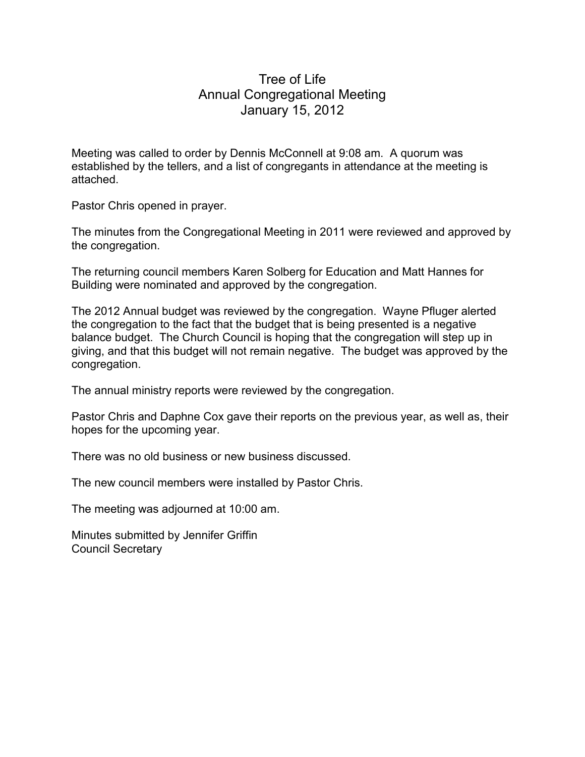# Tree of Life Annual Congregational Meeting January 15, 2012

Meeting was called to order by Dennis McConnell at 9:08 am. A quorum was established by the tellers, and a list of congregants in attendance at the meeting is attached.

Pastor Chris opened in prayer.

The minutes from the Congregational Meeting in 2011 were reviewed and approved by the congregation.

The returning council members Karen Solberg for Education and Matt Hannes for Building were nominated and approved by the congregation.

The 2012 Annual budget was reviewed by the congregation. Wayne Pfluger alerted the congregation to the fact that the budget that is being presented is a negative balance budget. The Church Council is hoping that the congregation will step up in giving, and that this budget will not remain negative. The budget was approved by the congregation.

The annual ministry reports were reviewed by the congregation.

Pastor Chris and Daphne Cox gave their reports on the previous year, as well as, their hopes for the upcoming year.

There was no old business or new business discussed.

The new council members were installed by Pastor Chris.

The meeting was adjourned at 10:00 am.

Minutes submitted by Jennifer Griffin Council Secretary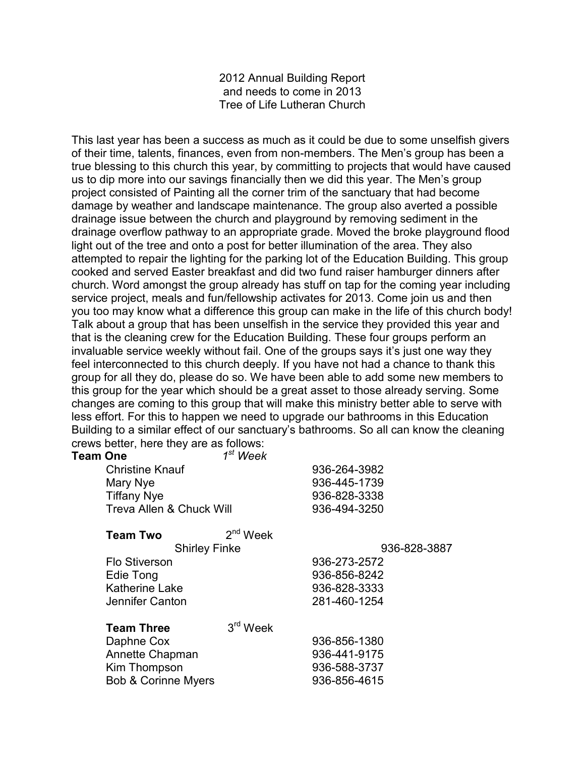2012 Annual Building Report and needs to come in 2013 Tree of Life Lutheran Church

This last year has been a success as much as it could be due to some unselfish givers of their time, talents, finances, even from non-members. The Men's group has been a true blessing to this church this year, by committing to projects that would have caused us to dip more into our savings financially then we did this year. The Men's group project consisted of Painting all the corner trim of the sanctuary that had become damage by weather and landscape maintenance. The group also averted a possible drainage issue between the church and playground by removing sediment in the drainage overflow pathway to an appropriate grade. Moved the broke playground flood light out of the tree and onto a post for better illumination of the area. They also attempted to repair the lighting for the parking lot of the Education Building. This group cooked and served Easter breakfast and did two fund raiser hamburger dinners after church. Word amongst the group already has stuff on tap for the coming year including service project, meals and fun/fellowship activates for 2013. Come join us and then you too may know what a difference this group can make in the life of this church body! Talk about a group that has been unselfish in the service they provided this year and that is the cleaning crew for the Education Building. These four groups perform an invaluable service weekly without fail. One of the groups says it's just one way they feel interconnected to this church deeply. If you have not had a chance to thank this group for all they do, please do so. We have been able to add some new members to this group for the year which should be a great asset to those already serving. Some changes are coming to this group that will make this ministry better able to serve with less effort. For this to happen we need to upgrade our bathrooms in this Education Building to a similar effect of our sanctuary's bathrooms. So all can know the cleaning crews better, here they are as follows:

| Team One                       | $1st$ Week |              |  |
|--------------------------------|------------|--------------|--|
| <b>Christine Knauf</b>         |            | 936-264-3982 |  |
| Mary Nye                       |            | 936-445-1739 |  |
| <b>Tiffany Nye</b>             |            | 936-828-3338 |  |
| Treva Allen & Chuck Will       |            | 936-494-3250 |  |
| <b>Team Two</b>                | $2nd$ Week |              |  |
| <b>Shirley Finke</b>           |            | 936-828-3887 |  |
| <b>Flo Stiverson</b>           |            | 936-273-2572 |  |
| Edie Tong                      |            | 936-856-8242 |  |
| <b>Katherine Lake</b>          |            | 936-828-3333 |  |
| Jennifer Canton                |            | 281-460-1254 |  |
| <b>Team Three</b>              | $3rd$ Week |              |  |
| Daphne Cox                     |            | 936-856-1380 |  |
| Annette Chapman                |            | 936-441-9175 |  |
| Kim Thompson                   |            | 936-588-3737 |  |
| <b>Bob &amp; Corinne Myers</b> |            | 936-856-4615 |  |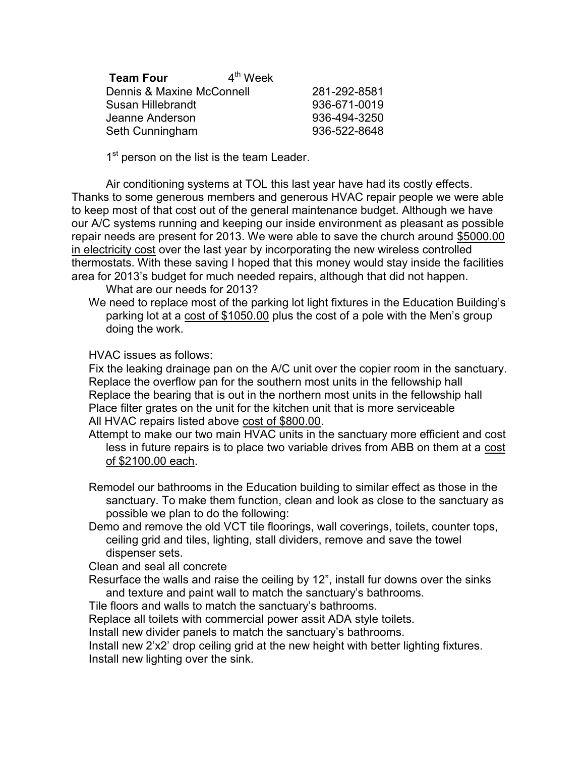| <b>Team Four</b>          | $4th$ Week |              |
|---------------------------|------------|--------------|
| Dennis & Maxine McConnell |            | 281-292-8581 |
| Susan Hillebrandt         |            | 936-671-0019 |
| Jeanne Anderson           |            | 936-494-3250 |
| Seth Cunningham           |            | 936-522-8648 |

1<sup>st</sup> person on the list is the team Leader.

Air conditioning systems at TOL this last year have had its costly effects. Thanks to some generous members and generous HVAC repair people we were able to keep most of that cost out of the general maintenance budget. Although we have our A/C systems running and keeping our inside environment as pleasant as possible repair needs are present for 2013. We were able to save the church around \$5000.00 in electricity cost over the last year by incorporating the new wireless controlled thermostats. With these saving I hoped that this money would stay inside the facilities area for 2013's budget for much needed repairs, although that did not happen.

What are our needs for 2013?

We need to replace most of the parking lot light fixtures in the Education Building's parking lot at a cost of \$1050.00 plus the cost of a pole with the Men's group doing the work.

HVAC issues as follows:

Fix the leaking drainage pan on the A/C unit over the copier room in the sanctuary. Replace the overflow pan for the southern most units in the fellowship hall Replace the bearing that is out in the northern most units in the fellowship hall Place filter grates on the unit for the kitchen unit that is more serviceable All HVAC repairs listed above cost of \$800.00.

- Attempt to make our two main HVAC units in the sanctuary more efficient and cost less in future repairs is to place two variable drives from ABB on them at a cost of \$2100.00 each.
- Remodel our bathrooms in the Education building to similar effect as those in the sanctuary. To make them function, clean and look as close to the sanctuary as possible we plan to do the following:
- Demo and remove the old VCT tile floorings, wall coverings, toilets, counter tops, ceiling grid and tiles, lighting, stall dividers, remove and save the towel dispenser sets.

Clean and seal all concrete

Resurface the walls and raise the ceiling by 12", install fur downs over the sinks and texture and paint wall to match the sanctuary's bathrooms.

Tile floors and walls to match the sanctuary's bathrooms.

Replace all toilets with commercial power assit ADA style toilets.

Install new divider panels to match the sanctuary's bathrooms.

Install new 2'x2' drop ceiling grid at the new height with better lighting fixtures. Install new lighting over the sink.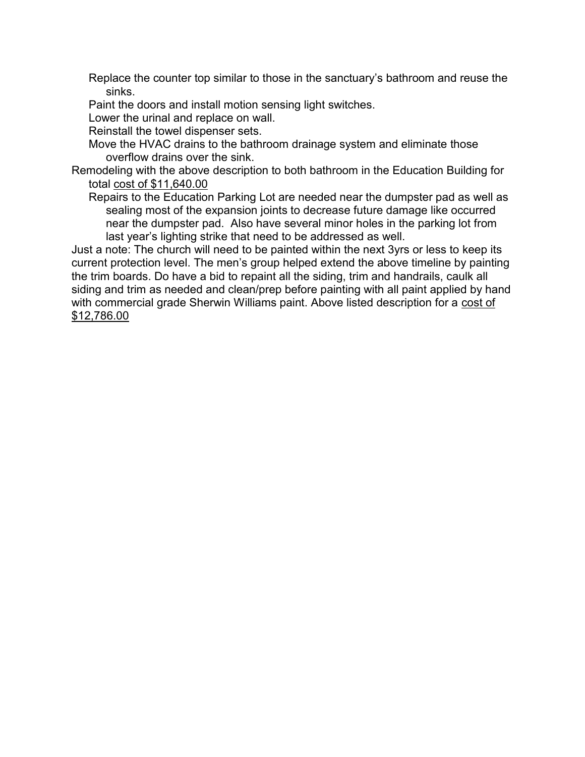Replace the counter top similar to those in the sanctuary's bathroom and reuse the sinks.

Paint the doors and install motion sensing light switches.

Lower the urinal and replace on wall.

Reinstall the towel dispenser sets.

Move the HVAC drains to the bathroom drainage system and eliminate those overflow drains over the sink.

Remodeling with the above description to both bathroom in the Education Building for total cost of \$11,640.00

Repairs to the Education Parking Lot are needed near the dumpster pad as well as sealing most of the expansion joints to decrease future damage like occurred near the dumpster pad. Also have several minor holes in the parking lot from last year's lighting strike that need to be addressed as well.

Just a note: The church will need to be painted within the next 3yrs or less to keep its current protection level. The men's group helped extend the above timeline by painting the trim boards. Do have a bid to repaint all the siding, trim and handrails, caulk all siding and trim as needed and clean/prep before painting with all paint applied by hand with commercial grade Sherwin Williams paint. Above listed description for a cost of \$12,786.00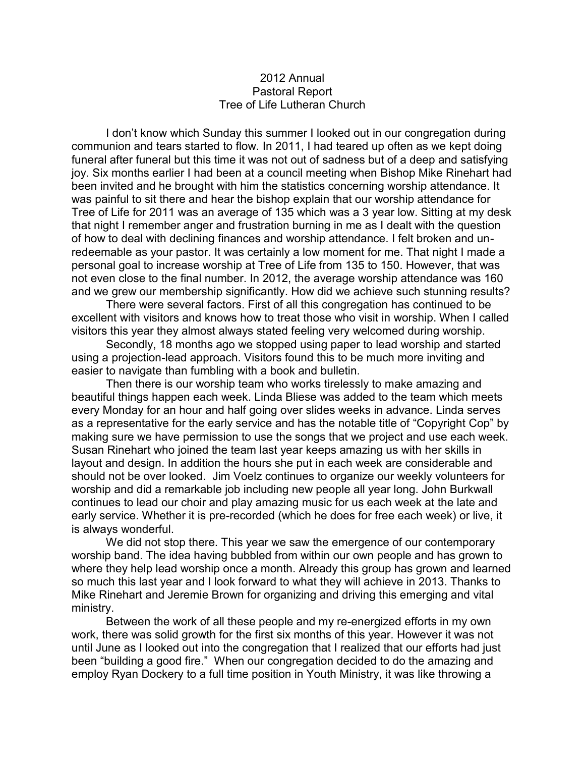### 2012 Annual Pastoral Report Tree of Life Lutheran Church

I don't know which Sunday this summer I looked out in our congregation during communion and tears started to flow. In 2011, I had teared up often as we kept doing funeral after funeral but this time it was not out of sadness but of a deep and satisfying joy. Six months earlier I had been at a council meeting when Bishop Mike Rinehart had been invited and he brought with him the statistics concerning worship attendance. It was painful to sit there and hear the bishop explain that our worship attendance for Tree of Life for 2011 was an average of 135 which was a 3 year low. Sitting at my desk that night I remember anger and frustration burning in me as I dealt with the question of how to deal with declining finances and worship attendance. I felt broken and unredeemable as your pastor. It was certainly a low moment for me. That night I made a personal goal to increase worship at Tree of Life from 135 to 150. However, that was not even close to the final number. In 2012, the average worship attendance was 160 and we grew our membership significantly. How did we achieve such stunning results?

There were several factors. First of all this congregation has continued to be excellent with visitors and knows how to treat those who visit in worship. When I called visitors this year they almost always stated feeling very welcomed during worship.

Secondly, 18 months ago we stopped using paper to lead worship and started using a projection-lead approach. Visitors found this to be much more inviting and easier to navigate than fumbling with a book and bulletin.

Then there is our worship team who works tirelessly to make amazing and beautiful things happen each week. Linda Bliese was added to the team which meets every Monday for an hour and half going over slides weeks in advance. Linda serves as a representative for the early service and has the notable title of "Copyright Cop" by making sure we have permission to use the songs that we project and use each week. Susan Rinehart who joined the team last year keeps amazing us with her skills in layout and design. In addition the hours she put in each week are considerable and should not be over looked. Jim Voelz continues to organize our weekly volunteers for worship and did a remarkable job including new people all year long. John Burkwall continues to lead our choir and play amazing music for us each week at the late and early service. Whether it is pre-recorded (which he does for free each week) or live, it is always wonderful.

We did not stop there. This year we saw the emergence of our contemporary worship band. The idea having bubbled from within our own people and has grown to where they help lead worship once a month. Already this group has grown and learned so much this last year and I look forward to what they will achieve in 2013. Thanks to Mike Rinehart and Jeremie Brown for organizing and driving this emerging and vital ministry.

Between the work of all these people and my re-energized efforts in my own work, there was solid growth for the first six months of this year. However it was not until June as I looked out into the congregation that I realized that our efforts had just been "building a good fire." When our congregation decided to do the amazing and employ Ryan Dockery to a full time position in Youth Ministry, it was like throwing a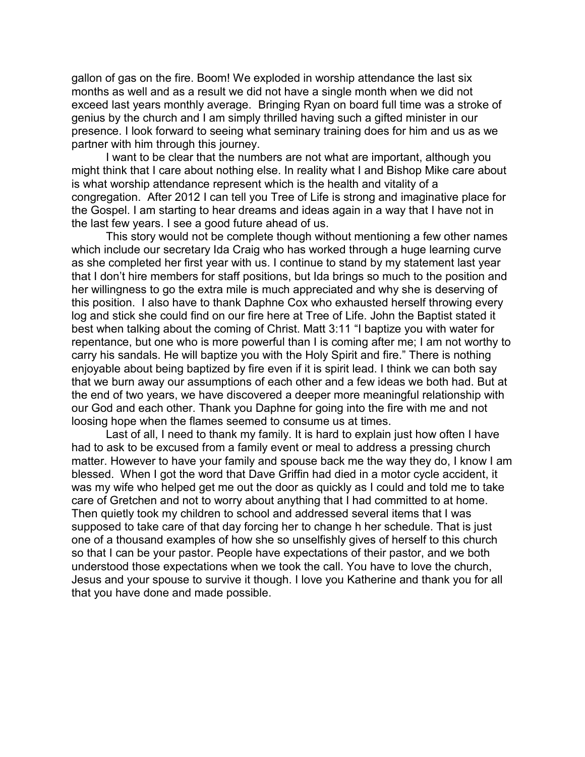gallon of gas on the fire. Boom! We exploded in worship attendance the last six months as well and as a result we did not have a single month when we did not exceed last years monthly average. Bringing Ryan on board full time was a stroke of genius by the church and I am simply thrilled having such a gifted minister in our presence. I look forward to seeing what seminary training does for him and us as we partner with him through this journey.

I want to be clear that the numbers are not what are important, although you might think that I care about nothing else. In reality what I and Bishop Mike care about is what worship attendance represent which is the health and vitality of a congregation. After 2012 I can tell you Tree of Life is strong and imaginative place for the Gospel. I am starting to hear dreams and ideas again in a way that I have not in the last few years. I see a good future ahead of us.

This story would not be complete though without mentioning a few other names which include our secretary Ida Craig who has worked through a huge learning curve as she completed her first year with us. I continue to stand by my statement last year that I don't hire members for staff positions, but Ida brings so much to the position and her willingness to go the extra mile is much appreciated and why she is deserving of this position. I also have to thank Daphne Cox who exhausted herself throwing every log and stick she could find on our fire here at Tree of Life. John the Baptist stated it best when talking about the coming of Christ. Matt 3:11 "I baptize you with water for repentance, but one who is more powerful than I is coming after me; I am not worthy to carry his sandals. He will baptize you with the Holy Spirit and fire." There is nothing enjoyable about being baptized by fire even if it is spirit lead. I think we can both say that we burn away our assumptions of each other and a few ideas we both had. But at the end of two years, we have discovered a deeper more meaningful relationship with our God and each other. Thank you Daphne for going into the fire with me and not loosing hope when the flames seemed to consume us at times.

Last of all, I need to thank my family. It is hard to explain just how often I have had to ask to be excused from a family event or meal to address a pressing church matter. However to have your family and spouse back me the way they do, I know I am blessed. When I got the word that Dave Griffin had died in a motor cycle accident, it was my wife who helped get me out the door as quickly as I could and told me to take care of Gretchen and not to worry about anything that I had committed to at home. Then quietly took my children to school and addressed several items that I was supposed to take care of that day forcing her to change h her schedule. That is just one of a thousand examples of how she so unselfishly gives of herself to this church so that I can be your pastor. People have expectations of their pastor, and we both understood those expectations when we took the call. You have to love the church, Jesus and your spouse to survive it though. I love you Katherine and thank you for all that you have done and made possible.